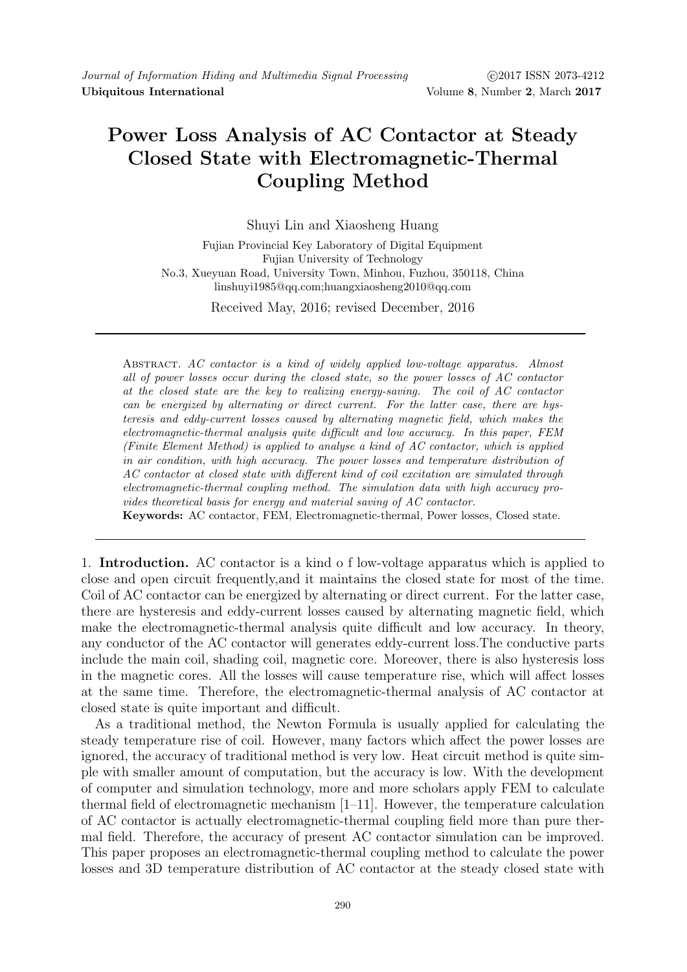## Power Loss Analysis of AC Contactor at Steady Closed State with Electromagnetic-Thermal Coupling Method

Shuyi Lin and Xiaosheng Huang

Fujian Provincial Key Laboratory of Digital Equipment Fujian University of Technology No.3, Xueyuan Road, University Town, Minhou, Fuzhou, 350118, China linshuyi1985@qq.com;huangxiaosheng2010@qq.com

Received May, 2016; revised December, 2016

Abstract. AC contactor is a kind of widely applied low-voltage apparatus. Almost all of power losses occur during the closed state, so the power losses of AC contactor at the closed state are the key to realizing energy-saving. The coil of AC contactor can be energized by alternating or direct current. For the latter case, there are hysteresis and eddy-current losses caused by alternating magnetic field, which makes the electromagnetic-thermal analysis quite difficult and low accuracy. In this paper, FEM (Finite Element Method) is applied to analyse a kind of AC contactor, which is applied in air condition, with high accuracy. The power losses and temperature distribution of AC contactor at closed state with different kind of coil excitation are simulated through electromagnetic-thermal coupling method. The simulation data with high accuracy provides theoretical basis for energy and material saving of AC contactor. Keywords: AC contactor, FEM, Electromagnetic-thermal, Power losses, Closed state.

1. Introduction. AC contactor is a kind o f low-voltage apparatus which is applied to close and open circuit frequently,and it maintains the closed state for most of the time. Coil of AC contactor can be energized by alternating or direct current. For the latter case, there are hysteresis and eddy-current losses caused by alternating magnetic field, which make the electromagnetic-thermal analysis quite difficult and low accuracy. In theory, any conductor of the AC contactor will generates eddy-current loss.The conductive parts include the main coil, shading coil, magnetic core. Moreover, there is also hysteresis loss in the magnetic cores. All the losses will cause temperature rise, which will affect losses at the same time. Therefore, the electromagnetic-thermal analysis of AC contactor at closed state is quite important and difficult.

As a traditional method, the Newton Formula is usually applied for calculating the steady temperature rise of coil. However, many factors which affect the power losses are ignored, the accuracy of traditional method is very low. Heat circuit method is quite simple with smaller amount of computation, but the accuracy is low. With the development of computer and simulation technology, more and more scholars apply FEM to calculate thermal field of electromagnetic mechanism [1–11]. However, the temperature calculation of AC contactor is actually electromagnetic-thermal coupling field more than pure thermal field. Therefore, the accuracy of present AC contactor simulation can be improved. This paper proposes an electromagnetic-thermal coupling method to calculate the power losses and 3D temperature distribution of AC contactor at the steady closed state with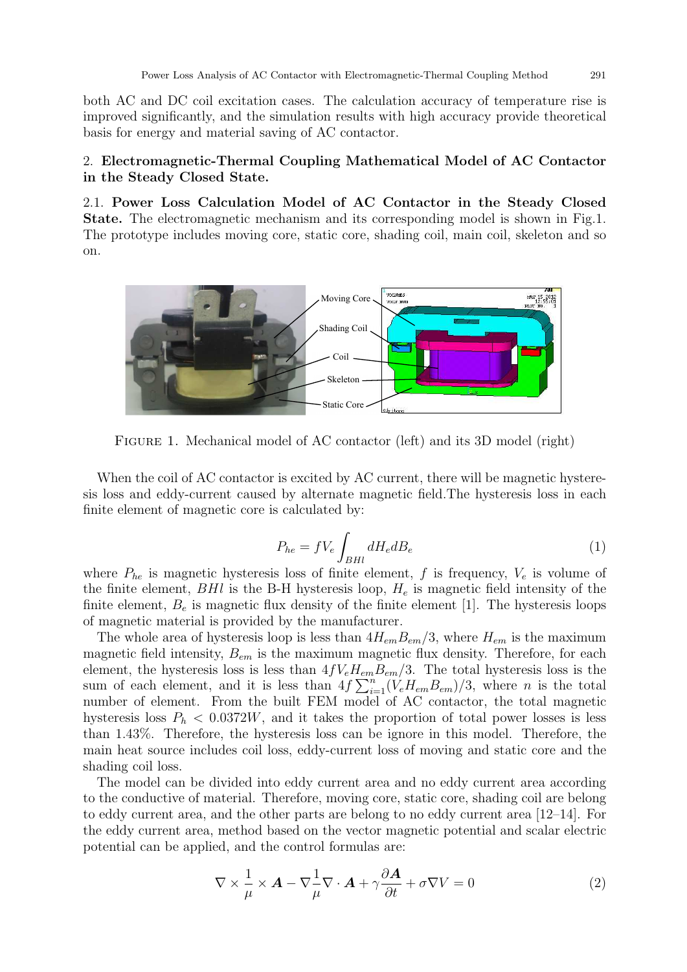both AC and DC coil excitation cases. The calculation accuracy of temperature rise is improved significantly, and the simulation results with high accuracy provide theoretical basis for energy and material saving of AC contactor.

## 2. Electromagnetic-Thermal Coupling Mathematical Model of AC Contactor in the Steady Closed State.

2.1. Power Loss Calculation Model of AC Contactor in the Steady Closed State. The electromagnetic mechanism and its corresponding model is shown in Fig.1. The prototype includes moving core, static core, shading coil, main coil, skeleton and so on.



FIGURE 1. Mechanical model of AC contactor (left) and its 3D model (right)

When the coil of AC contactor is excited by AC current, there will be magnetic hysteresis loss and eddy-current caused by alternate magnetic field.The hysteresis loss in each finite element of magnetic core is calculated by:

$$
P_{he} = fV_e \int_{BHI} dH_e dB_e \tag{1}
$$

where  $P_{he}$  is magnetic hysteresis loss of finite element, f is frequency,  $V_e$  is volume of the finite element,  $BHI$  is the B-H hysteresis loop,  $H<sub>e</sub>$  is magnetic field intensity of the finite element,  $B_e$  is magnetic flux density of the finite element [1]. The hysteresis loops of magnetic material is provided by the manufacturer.

The whole area of hysteresis loop is less than  $4H_{em}B_{em}/3$ , where  $H_{em}$  is the maximum magnetic field intensity,  $B_{em}$  is the maximum magnetic flux density. Therefore, for each element, the hysteresis loss is less than  $4fV_eH_{em}B_{em}/3$ . The total hysteresis loss is the sum of each element, and it is less than  $4f\sum_{i=1}^{n}(V_eH_{em}B_{em})/3$ , where *n* is the total number of element. From the built FEM model of AC contactor, the total magnetic hysteresis loss  $P_h < 0.0372W$ , and it takes the proportion of total power losses is less than 1.43%. Therefore, the hysteresis loss can be ignore in this model. Therefore, the main heat source includes coil loss, eddy-current loss of moving and static core and the shading coil loss.

The model can be divided into eddy current area and no eddy current area according to the conductive of material. Therefore, moving core, static core, shading coil are belong to eddy current area, and the other parts are belong to no eddy current area [12–14]. For the eddy current area, method based on the vector magnetic potential and scalar electric potential can be applied, and the control formulas are:

$$
\nabla \times \frac{1}{\mu} \times \mathbf{A} - \nabla \frac{1}{\mu} \nabla \cdot \mathbf{A} + \gamma \frac{\partial \mathbf{A}}{\partial t} + \sigma \nabla V = 0
$$
 (2)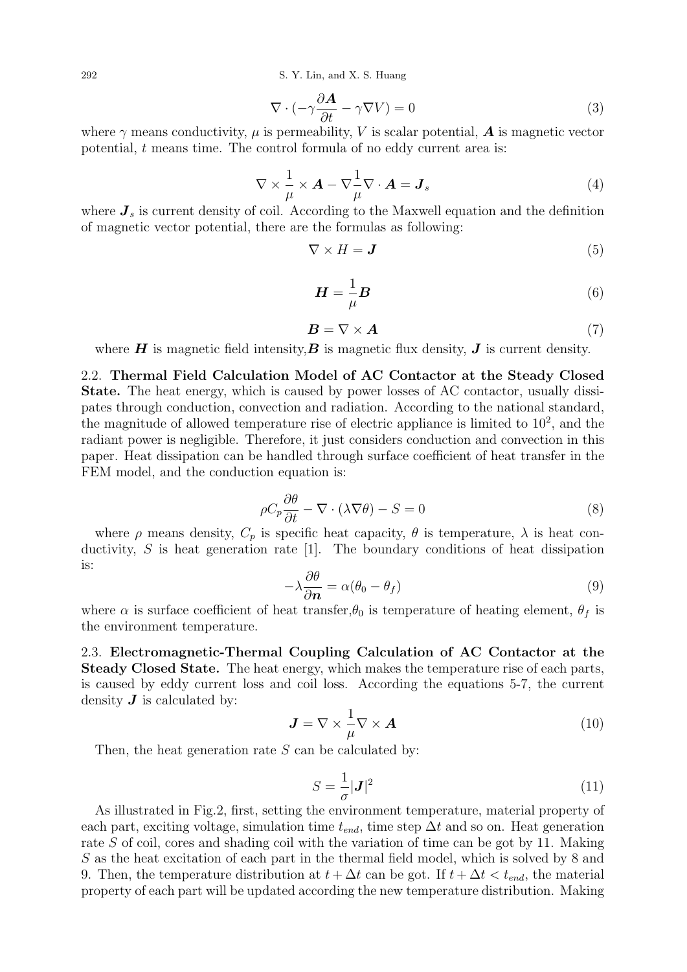292 S. Y. Lin, and X. S. Huang

$$
\nabla \cdot (-\gamma \frac{\partial \mathbf{A}}{\partial t} - \gamma \nabla V) = 0 \tag{3}
$$

where  $\gamma$  means conductivity,  $\mu$  is permeability, V is scalar potential,  $\boldsymbol{A}$  is magnetic vector potential, t means time. The control formula of no eddy current area is:

$$
\nabla \times \frac{1}{\mu} \times \mathbf{A} - \nabla \frac{1}{\mu} \nabla \cdot \mathbf{A} = \mathbf{J}_s
$$
 (4)

where  $J_s$  is current density of coil. According to the Maxwell equation and the definition of magnetic vector potential, there are the formulas as following:

$$
\nabla \times H = \mathbf{J} \tag{5}
$$

$$
\boldsymbol{H} = -\frac{1}{\mu}\boldsymbol{B} \tag{6}
$$

$$
B = \nabla \times A \tag{7}
$$

where  $H$  is magnetic field intensity,  $B$  is magnetic flux density,  $J$  is current density.

2.2. Thermal Field Calculation Model of AC Contactor at the Steady Closed State. The heat energy, which is caused by power losses of AC contactor, usually dissipates through conduction, convection and radiation. According to the national standard, the magnitude of allowed temperature rise of electric appliance is limited to  $10^2$ , and the radiant power is negligible. Therefore, it just considers conduction and convection in this paper. Heat dissipation can be handled through surface coefficient of heat transfer in the FEM model, and the conduction equation is:

$$
\rho C_p \frac{\partial \theta}{\partial t} - \nabla \cdot (\lambda \nabla \theta) - S = 0 \tag{8}
$$

where  $\rho$  means density,  $C_p$  is specific heat capacity,  $\theta$  is temperature,  $\lambda$  is heat conductivity,  $S$  is heat generation rate [1]. The boundary conditions of heat dissipation is:

$$
-\lambda \frac{\partial \theta}{\partial \mathbf{n}} = \alpha (\theta_0 - \theta_f) \tag{9}
$$

where  $\alpha$  is surface coefficient of heat transfer,  $\theta_0$  is temperature of heating element,  $\theta_f$  is the environment temperature.

2.3. Electromagnetic-Thermal Coupling Calculation of AC Contactor at the Steady Closed State. The heat energy, which makes the temperature rise of each parts, is caused by eddy current loss and coil loss. According the equations 5-7, the current density  $\boldsymbol{J}$  is calculated by:

$$
\mathbf{J} = \nabla \times \frac{1}{\mu} \nabla \times \mathbf{A}
$$
 (10)

Then, the heat generation rate  $S$  can be calculated by:

$$
S = \frac{1}{\sigma} |\mathbf{J}|^2 \tag{11}
$$

As illustrated in Fig.2, first, setting the environment temperature, material property of each part, exciting voltage, simulation time  $t_{end}$ , time step  $\Delta t$  and so on. Heat generation rate S of coil, cores and shading coil with the variation of time can be got by 11. Making S as the heat excitation of each part in the thermal field model, which is solved by 8 and 9. Then, the temperature distribution at  $t + \Delta t$  can be got. If  $t + \Delta t < t_{end}$ , the material property of each part will be updated according the new temperature distribution. Making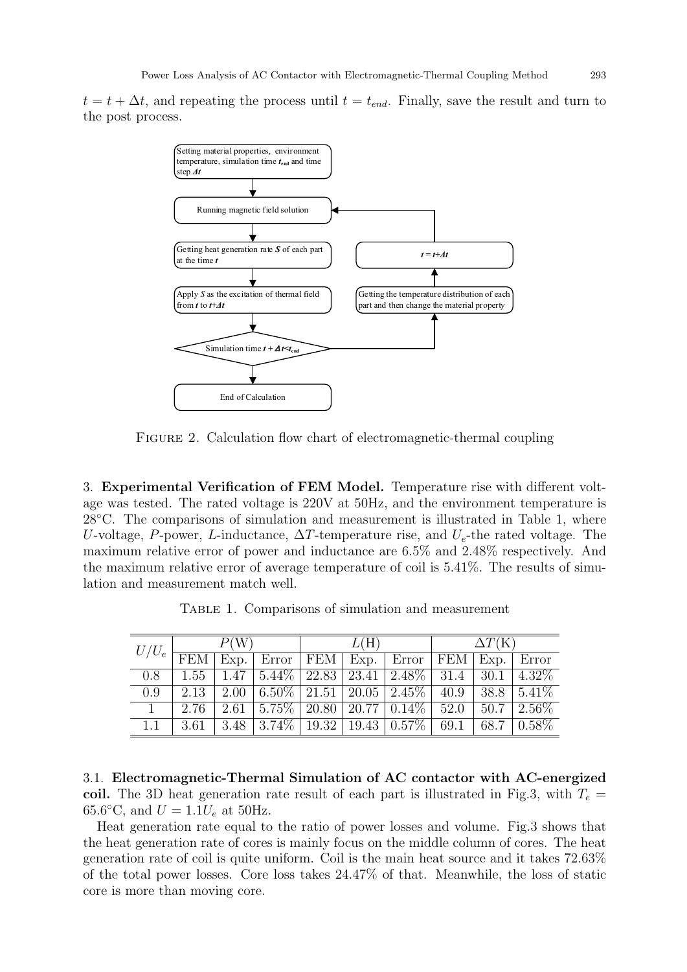$t = t + \Delta t$ , and repeating the process until  $t = t_{end}$ . Finally, save the result and turn to the post process.



FIGURE 2. Calculation flow chart of electromagnetic-thermal coupling

3. Experimental Verification of FEM Model. Temperature rise with different voltage was tested. The rated voltage is 220V at 50Hz, and the environment temperature is 28◦C. The comparisons of simulation and measurement is illustrated in Table 1, where U-voltage, P-power, L-inductance,  $\Delta T$ -temperature rise, and  $U_e$ -the rated voltage. The maximum relative error of power and inductance are 6.5% and 2.48% respectively. And the maximum relative error of average temperature of coil is 5.41%. The results of simulation and measurement match well.

|  |  |  | TABLE 1. Comparisons of simulation and measurement |
|--|--|--|----------------------------------------------------|
|  |  |  |                                                    |

| $U/U_e$ | P(W        |      |                                      |     | L(H) |                                                         |            | $\Delta T(K)$ |          |  |
|---------|------------|------|--------------------------------------|-----|------|---------------------------------------------------------|------------|---------------|----------|--|
|         | <b>FEM</b> | Exp. | Error                                | FEM | Exp. | Error                                                   | <b>FEM</b> | Exp.          | Error    |  |
| 0.8     | 1.55       | 1.47 | $\sqrt{5.44\% \sqrt{22.83}}$   23.41 |     |      | $12.48\%$                                               | 31.4       | 30.1          | 4.32\%   |  |
| 0.9     | 2.13       | 2.00 |                                      |     |      | $\boxed{6.50\% \mid 21.51 \mid 20.05 \mid 2.45\% \mid}$ | 40.9       | 38.8          | $5.41\%$ |  |
|         | 2.76       | 2.61 | $5.75\%$   20.80   20.77             |     |      | $0.14\%$                                                | 52.0       | 50.7          | $2.56\%$ |  |
| 1.1     | 3.61       | 3.48 | $\sqrt{3.74\%}$   19.32              |     |      | $19.43 \mid 0.57\%$                                     | 69.1       | 68.7          | $0.58\%$ |  |

3.1. Electromagnetic-Thermal Simulation of AC contactor with AC-energized coil. The 3D heat generation rate result of each part is illustrated in Fig.3, with  $T_e =$ 65.6°C, and  $U = 1.1U_e$  at 50Hz.

Heat generation rate equal to the ratio of power losses and volume. Fig.3 shows that the heat generation rate of cores is mainly focus on the middle column of cores. The heat generation rate of coil is quite uniform. Coil is the main heat source and it takes 72.63% of the total power losses. Core loss takes 24.47% of that. Meanwhile, the loss of static core is more than moving core.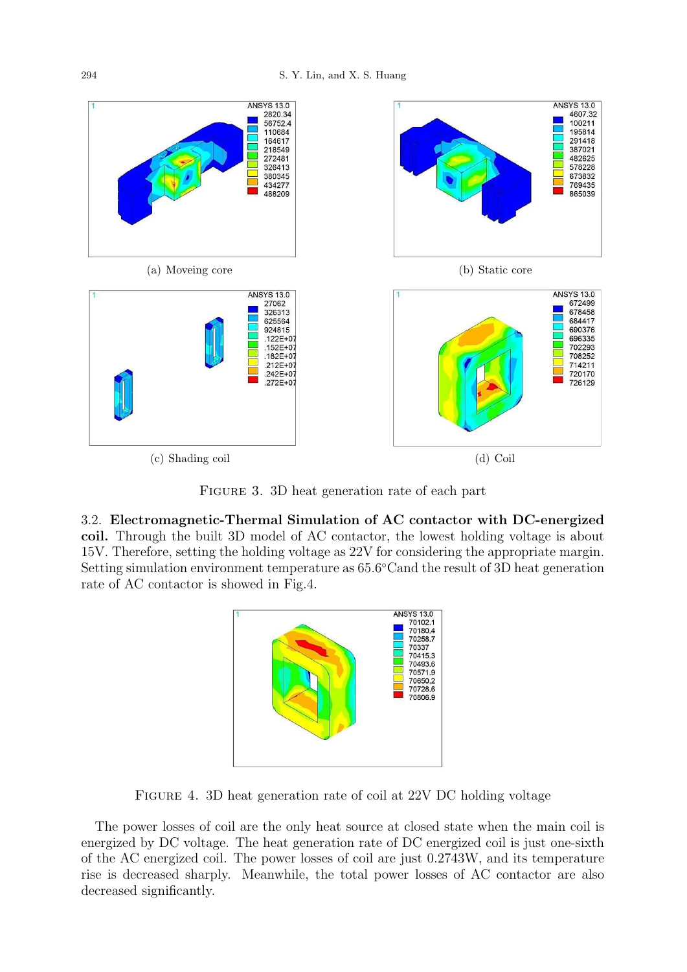

FIGURE 3. 3D heat generation rate of each part

3.2. Electromagnetic-Thermal Simulation of AC contactor with DC-energized coil. Through the built 3D model of AC contactor, the lowest holding voltage is about 15V. Therefore, setting the holding voltage as 22V for considering the appropriate margin. Setting simulation environment temperature as 65.6 ◦Cand the result of 3D heat generation rate of AC contactor is showed in Fig.4.



Figure 4. 3D heat generation rate of coil at 22V DC holding voltage

The power losses of coil are the only heat source at closed state when the main coil is energized by DC voltage. The heat generation rate of DC energized coil is just one-sixth of the AC energized coil. The power losses of coil are just 0.2743W, and its temperature rise is decreased sharply. Meanwhile, the total power losses of AC contactor are also decreased significantly.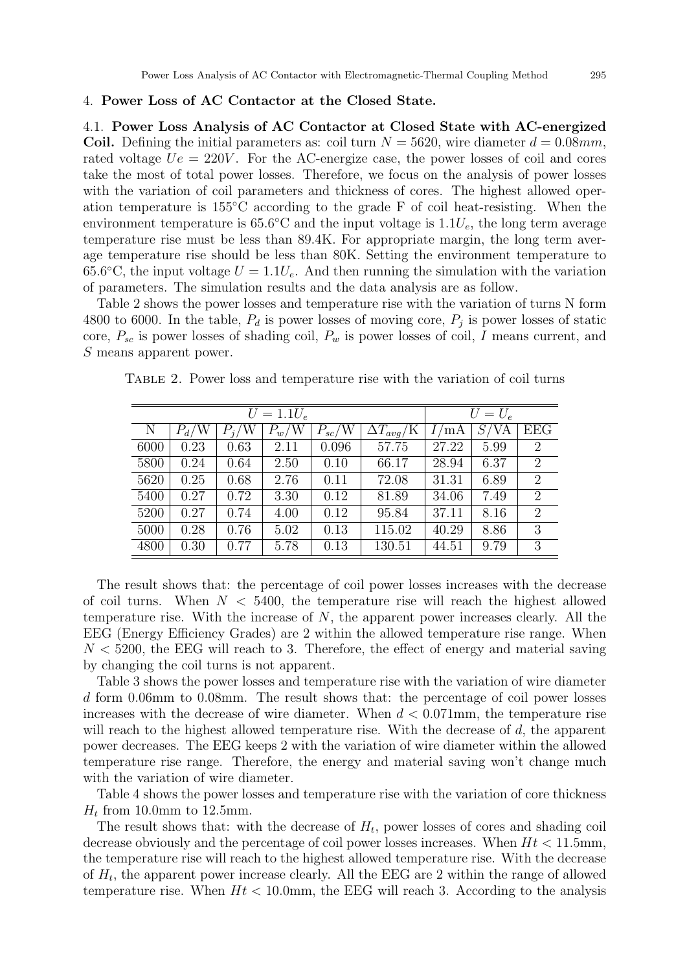## 4. Power Loss of AC Contactor at the Closed State.

4.1. Power Loss Analysis of AC Contactor at Closed State with AC-energized Coil. Defining the initial parameters as: coil turn  $N = 5620$ , wire diameter  $d = 0.08mm$ , rated voltage  $Ue = 220V$ . For the AC-energize case, the power losses of coil and cores take the most of total power losses. Therefore, we focus on the analysis of power losses with the variation of coil parameters and thickness of cores. The highest allowed operation temperature is 155◦C according to the grade F of coil heat-resisting. When the environment temperature is  $65.6^{\circ}$ C and the input voltage is  $1.1U_e$ , the long term average temperature rise must be less than 89.4K. For appropriate margin, the long term average temperature rise should be less than 80K. Setting the environment temperature to 65.6°C, the input voltage  $U = 1.1U_e$ . And then running the simulation with the variation of parameters. The simulation results and the data analysis are as follow.

Table 2 shows the power losses and temperature rise with the variation of turns N form 4800 to 6000. In the table,  $P_d$  is power losses of moving core,  $P_j$  is power losses of static core,  $P_{sc}$  is power losses of shading coil,  $P_w$  is power losses of coil, I means current, and S means apparent power.

|      |         |         | $U = 1.1 U_e$ |            |                           | $U=U_e$ |      |                |  |
|------|---------|---------|---------------|------------|---------------------------|---------|------|----------------|--|
| N    | $P_d/W$ | $P_i/W$ | $P_w/W$       | $P_{sc}/W$ | $\Delta T_{avg}/\text{K}$ | /mA     | S/VA | <b>EEG</b>     |  |
| 6000 | 0.23    | 0.63    | 2.11          | 0.096      | 57.75                     | 27.22   | 5.99 | $\overline{2}$ |  |
| 5800 | 0.24    | 0.64    | 2.50          | 0.10       | 66.17                     | 28.94   | 6.37 | $\overline{2}$ |  |
| 5620 | 0.25    | 0.68    | 2.76          | 0.11       | 72.08                     | 31.31   | 6.89 | $\overline{2}$ |  |
| 5400 | 0.27    | 0.72    | 3.30          | 0.12       | 81.89                     | 34.06   | 7.49 | $\overline{2}$ |  |
| 5200 | 0.27    | 0.74    | 4.00          | 0.12       | 95.84                     | 37.11   | 8.16 | $\overline{2}$ |  |
| 5000 | 0.28    | 0.76    | 5.02          | 0.13       | 115.02                    | 40.29   | 8.86 | 3              |  |
| 4800 | 0.30    | 0.77    | 5.78          | 0.13       | 130.51                    | 44.51   | 9.79 | 3              |  |

Table 2. Power loss and temperature rise with the variation of coil turns

The result shows that: the percentage of coil power losses increases with the decrease of coil turns. When  $N < 5400$ , the temperature rise will reach the highest allowed temperature rise. With the increase of  $N$ , the apparent power increases clearly. All the EEG (Energy Efficiency Grades) are 2 within the allowed temperature rise range. When  $N < 5200$ , the EEG will reach to 3. Therefore, the effect of energy and material saving by changing the coil turns is not apparent.

Table 3 shows the power losses and temperature rise with the variation of wire diameter d form 0.06mm to 0.08mm. The result shows that: the percentage of coil power losses increases with the decrease of wire diameter. When  $d < 0.071$  mm, the temperature rise will reach to the highest allowed temperature rise. With the decrease of d, the apparent power decreases. The EEG keeps 2 with the variation of wire diameter within the allowed temperature rise range. Therefore, the energy and material saving won't change much with the variation of wire diameter.

Table 4 shows the power losses and temperature rise with the variation of core thickness  $H_t$  from 10.0mm to 12.5mm.

The result shows that: with the decrease of  $H_t$ , power losses of cores and shading coil decrease obviously and the percentage of coil power losses increases. When  $Ht < 11.5$ mm, the temperature rise will reach to the highest allowed temperature rise. With the decrease of  $H_t$ , the apparent power increase clearly. All the EEG are 2 within the range of allowed temperature rise. When  $Ht < 10.0$ mm, the EEG will reach 3. According to the analysis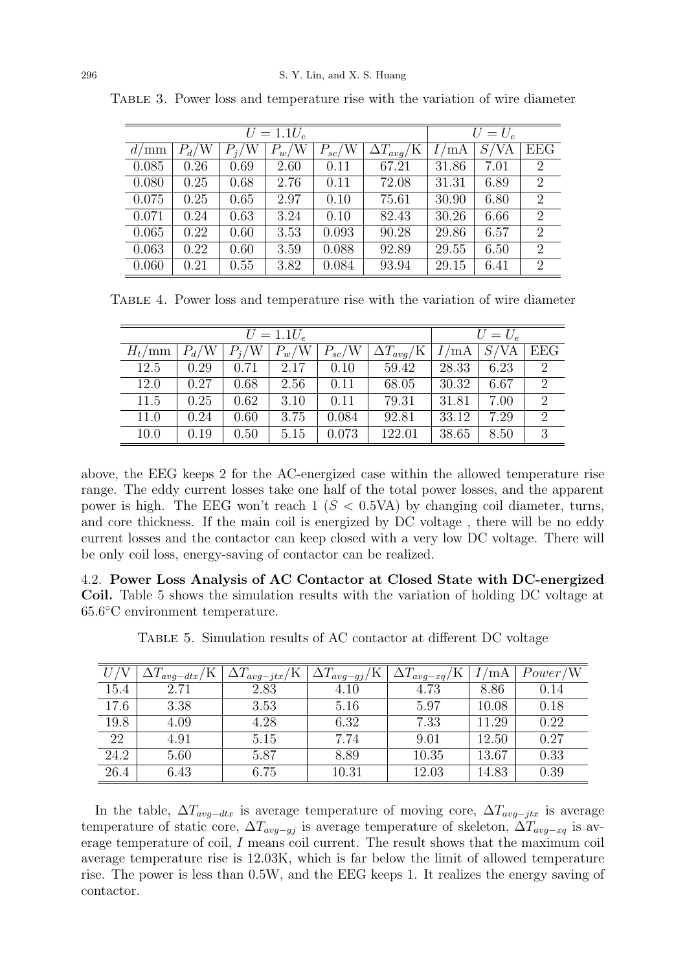|       |         |              | $U = 1.1 U_e$ |            |                             | $U=U_e$ |      |                |  |
|-------|---------|--------------|---------------|------------|-----------------------------|---------|------|----------------|--|
| d/mm  | $P_d/W$ | /W<br>$P_i/$ | $P_w/W$       | $P_{sc}/W$ | $\Delta T_{avg}/\mathrm{K}$ | /mA     | S/VA | <b>EEG</b>     |  |
| 0.085 | 0.26    | 0.69         | 2.60          | 0.11       | 67.21                       | 31.86   | 7.01 | $\overline{2}$ |  |
| 0.080 | 0.25    | 0.68         | 2.76          | 0.11       | 72.08                       | 31.31   | 6.89 | $\overline{2}$ |  |
| 0.075 | 0.25    | 0.65         | 2.97          | 0.10       | 75.61                       | 30.90   | 6.80 | $\overline{2}$ |  |
| 0.071 | 0.24    | 0.63         | 3.24          | 0.10       | 82.43                       | 30.26   | 6.66 | $\overline{2}$ |  |
| 0.065 | 0.22    | 0.60         | 3.53          | 0.093      | 90.28                       | 29.86   | 6.57 | $\overline{2}$ |  |
| 0.063 | 0.22    | 0.60         | 3.59          | 0.088      | 92.89                       | 29.55   | 6.50 | $\overline{2}$ |  |
| 0.060 | 0.21    | 0.55         | 3.82          | 0.084      | 93.94                       | 29.15   | 6.41 | $\overline{2}$ |  |

Table 3. Power loss and temperature rise with the variation of wire diameter

Table 4. Power loss and temperature rise with the variation of wire diameter

|                |         |             | $U = 1.1 U_e$ |            |                              |       | $U=U_e$ |     |
|----------------|---------|-------------|---------------|------------|------------------------------|-------|---------|-----|
| $H_t/{\rm mm}$ | $P_d/W$ | $P_i/$<br>W | $P_w/{\rm W}$ | $P_{sc}/W$ | $\overline{\Delta}T_{avg}/K$ | ΄mΑ   | S/VA    | EEG |
| 12.5           | 0.29    | 0.71        | 2.17          | 0.10       | 59.42                        | 28.33 | 6.23    | 2   |
| 12.0           | 0.27    | 0.68        | 2.56          | 0.11       | 68.05                        | 30.32 | 6.67    | 2   |
| 11.5           | 0.25    | 0.62        | 3.10          | 0.11       | 79.31                        | 31.81 | 7.00    | 2   |
| 11.0           | 0.24    | 0.60        | 3.75          | 0.084      | 92.81                        | 33.12 | 7.29    | 2   |
| 10.0           | 0.19    | 0.50        | 5.15          | 0.073      | 122.01                       | 38.65 | 8.50    | 3   |

above, the EEG keeps 2 for the AC-energized case within the allowed temperature rise range. The eddy current losses take one half of the total power losses, and the apparent power is high. The EEG won't reach  $1 (S < 0.5VA)$  by changing coil diameter, turns, and core thickness. If the main coil is energized by DC voltage , there will be no eddy current losses and the contactor can keep closed with a very low DC voltage. There will be only coil loss, energy-saving of contactor can be realized.

4.2. Power Loss Analysis of AC Contactor at Closed State with DC-energized Coil. Table 5 shows the simulation results with the variation of holding DC voltage at 65.6 ◦C environment temperature.

Table 5. Simulation results of AC contactor at different DC voltage

|      | K.<br>$\Delta$ <i>avg</i> -dtx/ | $\Delta L_{avg-jtx}/\bar{\rm K}$   . | $\Delta L_{avg-gj}/N$ | $\Delta T_{avg\_xq/\Lambda}$ | ΄mΑ   | Power/W |
|------|---------------------------------|--------------------------------------|-----------------------|------------------------------|-------|---------|
| 15.4 | 2.71                            | 2.83                                 | 4.10                  | 4.73                         | 8.86  | 0.14    |
| 17.6 | 3.38                            | 3.53                                 | 5.16                  | 5.97                         | 10.08 | 0.18    |
| 19.8 | 4.09                            | 4.28                                 | 6.32                  | 7.33                         | 11.29 | 0.22    |
| 22   | 4.91                            | 5.15                                 | 7.74                  | 9.01                         | 12.50 | 0.27    |
| 24.2 | 5.60                            | 5.87                                 | 8.89                  | 10.35                        | 13.67 | 0.33    |
| 26.4 | 6.43                            | 6.75                                 | 10.31                 | 12.03                        | 14.83 | 0.39    |

In the table,  $\Delta T_{avg-dtx}$  is average temperature of moving core,  $\Delta T_{avg-jtx}$  is average temperature of static core,  $\Delta T_{avg-gi}$  is average temperature of skeleton,  $\Delta T_{avg-xy}$  is average temperature of coil, I means coil current. The result shows that the maximum coil average temperature rise is 12.03K, which is far below the limit of allowed temperature rise. The power is less than 0.5W, and the EEG keeps 1. It realizes the energy saving of contactor.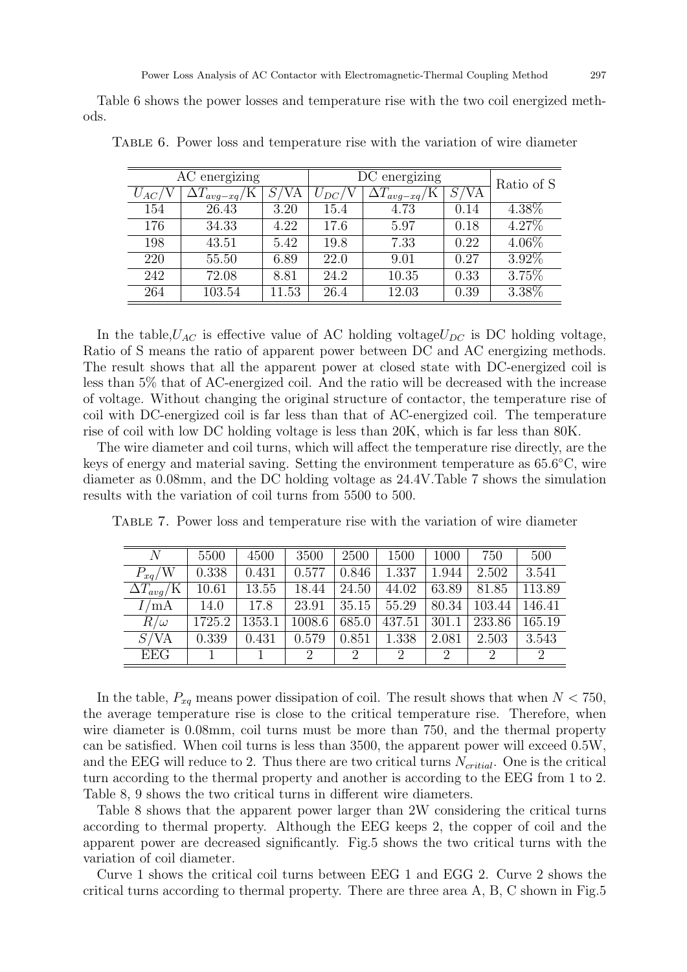Table 6 shows the power losses and temperature rise with the two coil energized methods.

|          | AC energizing         |            |           | DC energizing         |      | Ratio of S |
|----------|-----------------------|------------|-----------|-----------------------|------|------------|
| $U_{AC}$ | $\Delta T_{avg-xq/2}$ | $\sqrt{A}$ | $U_{DC}/$ | $\Delta T_{avg-xq}/K$ | S/VA |            |
| 154      | 26.43                 | 3.20       | 15.4      | 4.73                  | 0.14 | 4.38%      |
| 176      | 34.33                 | 4.22       | 17.6      | 5.97                  | 0.18 | 4.27%      |
| 198      | 43.51                 | 5.42       | 19.8      | 7.33                  | 0.22 | 4.06%      |
| 220      | 55.50                 | 6.89       | 22.0      | 9.01                  | 0.27 | $3.92\%$   |
| 242      | 72.08                 | 8.81       | 24.2      | 10.35                 | 0.33 | 3.75%      |
| 264      | 103.54                | 11.53      | 26.4      | 12.03                 | 0.39 | $3.38\%$   |

Table 6. Power loss and temperature rise with the variation of wire diameter

In the table,  $U_{AC}$  is effective value of AC holding voltage $U_{DC}$  is DC holding voltage, Ratio of S means the ratio of apparent power between DC and AC energizing methods. The result shows that all the apparent power at closed state with DC-energized coil is less than 5% that of AC-energized coil. And the ratio will be decreased with the increase of voltage. Without changing the original structure of contactor, the temperature rise of coil with DC-energized coil is far less than that of AC-energized coil. The temperature rise of coil with low DC holding voltage is less than 20K, which is far less than 80K.

The wire diameter and coil turns, which will affect the temperature rise directly, are the keys of energy and material saving. Setting the environment temperature as 65.6°C, wire diameter as 0.08mm, and the DC holding voltage as 24.4V.Table 7 shows the simulation results with the variation of coil turns from 5500 to 500.

| N                   | 5500   | 4500   | 3500   | 2500           | 1500                        | 1000           | 750    | 500            |
|---------------------|--------|--------|--------|----------------|-----------------------------|----------------|--------|----------------|
| $P_{xq}/W$          | 0.338  | 0.431  | 0.577  | 0.846          | 1.337                       | 1.944          | 2.502  | 3.541          |
| $\Delta T_{avg}$ /K | 10.61  | 13.55  | 18.44  | 24.50          | 44.02                       | 63.89          | 81.85  | 113.89         |
| 'mA                 | 14.0   | 17.8   | 23.91  | 35.15          | 55.29                       | 80.34          | 103.44 | 146.41         |
| $R/\omega$          | 1725.2 | 1353.1 | 1008.6 | 685.0          | 437.51                      | 301.1          | 233.86 | 165.19         |
| S/VA                | 0.339  | 0.431  | 0.579  | 0.851          | 1.338                       | 2.081          | 2.503  | 3.543          |
| <b>EEG</b>          |        |        | 2      | $\overline{2}$ | $\mathcal{D}_{\mathcal{L}}$ | $\overline{2}$ | 2      | $\overline{2}$ |

Table 7. Power loss and temperature rise with the variation of wire diameter

In the table,  $P_{xq}$  means power dissipation of coil. The result shows that when  $N < 750$ , the average temperature rise is close to the critical temperature rise. Therefore, when wire diameter is 0.08mm, coil turns must be more than 750, and the thermal property can be satisfied. When coil turns is less than 3500, the apparent power will exceed 0.5W, and the EEG will reduce to 2. Thus there are two critical turns  $N_{critical}$ . One is the critical turn according to the thermal property and another is according to the EEG from 1 to 2. Table 8, 9 shows the two critical turns in different wire diameters.

Table 8 shows that the apparent power larger than 2W considering the critical turns according to thermal property. Although the EEG keeps 2, the copper of coil and the apparent power are decreased significantly. Fig.5 shows the two critical turns with the variation of coil diameter.

Curve 1 shows the critical coil turns between EEG 1 and EGG 2. Curve 2 shows the critical turns according to thermal property. There are three area A, B, C shown in Fig.5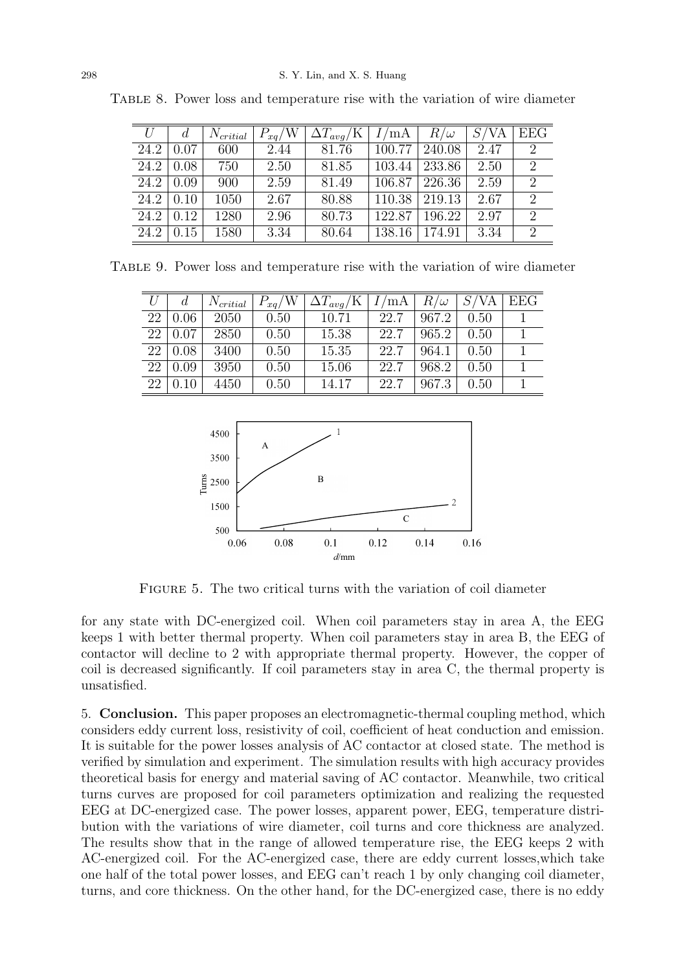| U    |      | $N_{critical}$ | $P_{xq}/W$ | $\Delta T_{avg}$ /K | I/mA   | $R/\omega$ | S/VA | <b>EEG</b>                  |
|------|------|----------------|------------|---------------------|--------|------------|------|-----------------------------|
| 24.2 | 0.07 | 600            | 2.44       | 81.76               | 100.77 | 240.08     | 2.47 | $\mathcal{D}_{\mathcal{L}}$ |
| 24.2 | 0.08 | 750            | 2.50       | 81.85               | 103.44 | 233.86     | 2.50 | $\mathcal{D}_{\mathcal{L}}$ |
| 24.2 | 0.09 | 900            | 2.59       | 81.49               | 106.87 | 226.36     | 2.59 | $\mathcal{D}_{\mathcal{L}}$ |
| 24.2 | 0.10 | 1050           | 2.67       | 80.88               | 110.38 | 219.13     | 2.67 | $\mathcal{D}_{\mathcal{L}}$ |
| 24.2 | 0.12 | 1280           | 2.96       | 80.73               | 122.87 | 196.22     | 2.97 | $\mathcal{D}_{\mathcal{L}}$ |
| 24.2 | 0.15 | 1580           | 3.34       | 80.64               | 138.16 | 174.91     | 3.34 | $\mathcal{D}_{\mathcal{L}}$ |

Table 8. Power loss and temperature rise with the variation of wire diameter

Table 9. Power loss and temperature rise with the variation of wire diameter

|    |      | $N_{critical}$ | $P_{xq}/W$ | $\Delta T_{avg}/K$   $I/mA$ |      | $R/\omega$ | S/VA | EEG |
|----|------|----------------|------------|-----------------------------|------|------------|------|-----|
| 22 | 0.06 | 2050           | 0.50       | 10.71                       | 22.7 | 967.2      | 0.50 |     |
| 22 | 0.07 | 2850           | 0.50       | 15.38                       | 22.7 | 965.2      | 0.50 |     |
| 22 | 0.08 | 3400           | 0.50       | 15.35                       | 22.7 | 964.1      | 0.50 |     |
| 22 | 0.09 | 3950           | 0.50       | 15.06                       | 22.7 | 968.2      | 0.50 |     |
| 22 |      | 4450           | 0.50       | 14.17                       | 22.7 | 967.3      | 0.50 |     |



Figure 5. The two critical turns with the variation of coil diameter

for any state with DC-energized coil. When coil parameters stay in area A, the EEG keeps 1 with better thermal property. When coil parameters stay in area B, the EEG of contactor will decline to 2 with appropriate thermal property. However, the copper of coil is decreased significantly. If coil parameters stay in area C, the thermal property is unsatisfied.

5. Conclusion. This paper proposes an electromagnetic-thermal coupling method, which considers eddy current loss, resistivity of coil, coefficient of heat conduction and emission. It is suitable for the power losses analysis of AC contactor at closed state. The method is verified by simulation and experiment. The simulation results with high accuracy provides theoretical basis for energy and material saving of AC contactor. Meanwhile, two critical turns curves are proposed for coil parameters optimization and realizing the requested EEG at DC-energized case. The power losses, apparent power, EEG, temperature distribution with the variations of wire diameter, coil turns and core thickness are analyzed. The results show that in the range of allowed temperature rise, the EEG keeps 2 with AC-energized coil. For the AC-energized case, there are eddy current losses,which take one half of the total power losses, and EEG can't reach 1 by only changing coil diameter, turns, and core thickness. On the other hand, for the DC-energized case, there is no eddy